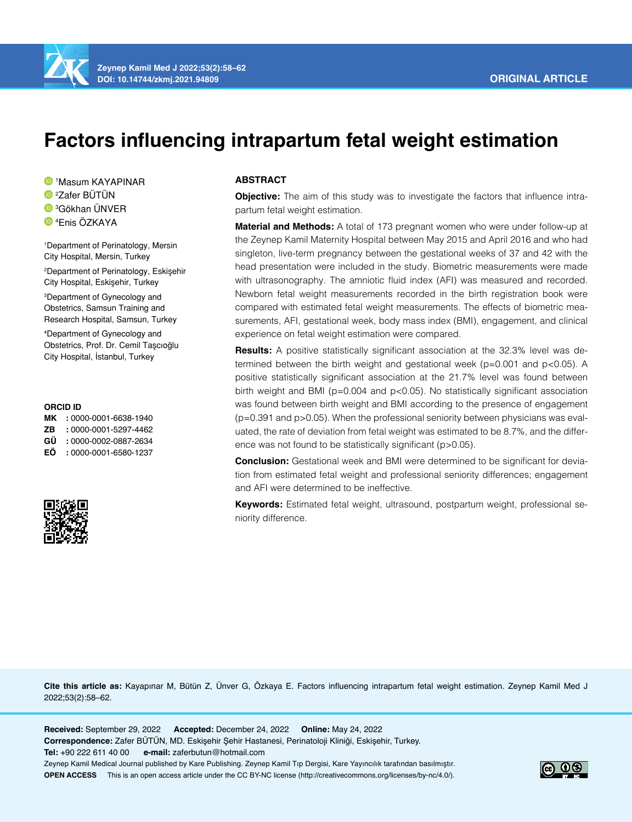

**Zeynep Kamil Med J 2022;53(2):58–62 DOI: 10.14744/zkmj.2021.94809**

# **Factors influencing intrapartum fetal weight estimation**

1 Masum KAYAPINAR 2 Zafer BÜTÜN 3 Gökhan ÜNVER

4 Enis ÖZKAYA

1 Department of Perinatology, Mersin City Hospital, Mersin, Turkey 2 Department of Perinatology, Eskişehir City Hospital, Eskişehir, Turkey

3 Department of Gynecology and Obstetrics, Samsun Training and Research Hospital, Samsun, Turkey

4 Department of Gynecology and Obstetrics, Prof. Dr. Cemil Taşcıoğlu City Hospital, İstanbul, Turkey

#### **ORCID ID**

**MK :** 0000-0001-6638-1940 **ZB :** 0000-0001-5297-4462 **GÜ :** 0000-0002-0887-2634 **EÖ :** 0000-0001-6580-1237



# **ABSTRACT**

**Objective:** The aim of this study was to investigate the factors that influence intrapartum fetal weight estimation.

**Material and Methods:** A total of 173 pregnant women who were under follow-up at the Zeynep Kamil Maternity Hospital between May 2015 and April 2016 and who had singleton, live-term pregnancy between the gestational weeks of 37 and 42 with the head presentation were included in the study. Biometric measurements were made with ultrasonography. The amniotic fluid index (AFI) was measured and recorded. Newborn fetal weight measurements recorded in the birth registration book were compared with estimated fetal weight measurements. The effects of biometric measurements, AFI, gestational week, body mass index (BMI), engagement, and clinical experience on fetal weight estimation were compared.

**Results:** A positive statistically significant association at the 32.3% level was determined between the birth weight and gestational week ( $p=0.001$  and  $p<0.05$ ). A positive statistically significant association at the 21.7% level was found between birth weight and BMI (p=0.004 and p<0.05). No statistically significant association was found between birth weight and BMI according to the presence of engagement (p=0.391 and p>0.05). When the professional seniority between physicians was evaluated, the rate of deviation from fetal weight was estimated to be 8.7%, and the difference was not found to be statistically significant (p>0.05).

**Conclusion:** Gestational week and BMI were determined to be significant for deviation from estimated fetal weight and professional seniority differences; engagement and AFI were determined to be ineffective.

**Keywords:** Estimated fetal weight, ultrasound, postpartum weight, professional seniority difference.

**Cite this article as:** Kayapınar M, Bütün Z, Ünver G, Özkaya E. Factors influencing intrapartum fetal weight estimation. Zeynep Kamil Med J 2022;53(2):58–62.

**Received:** September 29, 2022 **Accepted:** December 24, 2022 **Online:** May 24, 2022 **Correspondence:** Zafer BÜTÜN, MD. Eskişehir Şehir Hastanesi, Perinatoloji Kliniği, Eskişehir, Turkey. **Tel:** +90 222 611 40 00 **e-mail:** zaferbutun@hotmail.com Zeynep Kamil Medical Journal published by Kare Publishing. Zeynep Kamil Tıp Dergisi, Kare Yayıncılık tarafından basılmıştır. **OPEN ACCESS** This is an open access article under the CC BY-NC license (http://creativecommons.org/licenses/by-nc/4.0/).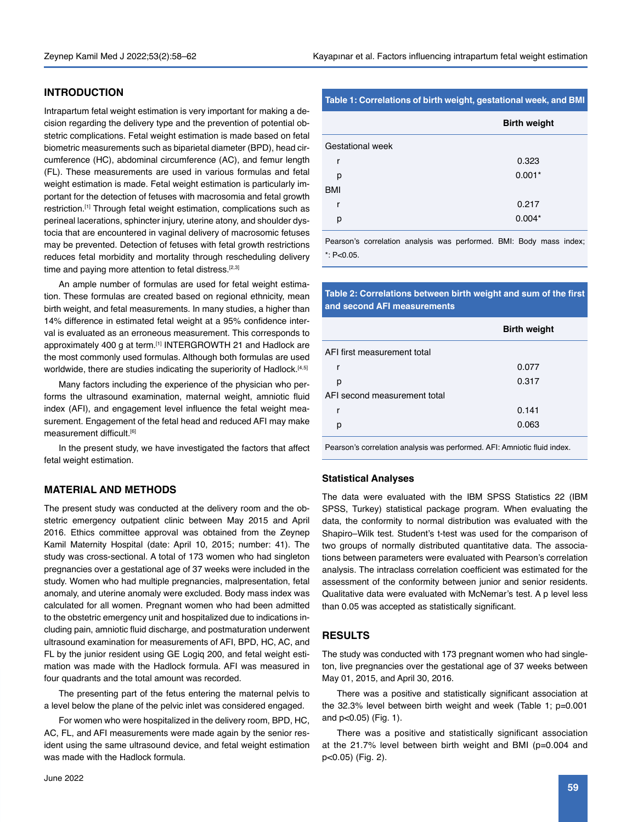# **INTRODUCTION**

Intrapartum fetal weight estimation is very important for making a decision regarding the delivery type and the prevention of potential obstetric complications. Fetal weight estimation is made based on fetal biometric measurements such as biparietal diameter (BPD), head circumference (HC), abdominal circumference (AC), and femur length (FL). These measurements are used in various formulas and fetal weight estimation is made. Fetal weight estimation is particularly important for the detection of fetuses with macrosomia and fetal growth restriction.<sup>[1]</sup> Through fetal weight estimation, complications such as perineal lacerations, sphincter injury, uterine atony, and shoulder dystocia that are encountered in vaginal delivery of macrosomic fetuses may be prevented. Detection of fetuses with fetal growth restrictions reduces fetal morbidity and mortality through rescheduling delivery time and paying more attention to fetal distress.<sup>[2,3]</sup>

An ample number of formulas are used for fetal weight estimation. These formulas are created based on regional ethnicity, mean birth weight, and fetal measurements. In many studies, a higher than 14% difference in estimated fetal weight at a 95% confidence interval is evaluated as an erroneous measurement. This corresponds to approximately 400 g at term.<sup>[1]</sup> INTERGROWTH 21 and Hadlock are the most commonly used formulas. Although both formulas are used worldwide, there are studies indicating the superiority of Hadlock.<sup>[4,5]</sup>

Many factors including the experience of the physician who performs the ultrasound examination, maternal weight, amniotic fluid index (AFI), and engagement level influence the fetal weight measurement. Engagement of the fetal head and reduced AFI may make measurement difficult.[6]

In the present study, we have investigated the factors that affect fetal weight estimation.

## **MATERIAL AND METHODS**

The present study was conducted at the delivery room and the obstetric emergency outpatient clinic between May 2015 and April 2016. Ethics committee approval was obtained from the Zeynep Kamil Maternity Hospital (date: April 10, 2015; number: 41). The study was cross-sectional. A total of 173 women who had singleton pregnancies over a gestational age of 37 weeks were included in the study. Women who had multiple pregnancies, malpresentation, fetal anomaly, and uterine anomaly were excluded. Body mass index was calculated for all women. Pregnant women who had been admitted to the obstetric emergency unit and hospitalized due to indications including pain, amniotic fluid discharge, and postmaturation underwent ultrasound examination for measurements of AFI, BPD, HC, AC, and FL by the junior resident using GE Logiq 200, and fetal weight estimation was made with the Hadlock formula. AFI was measured in four quadrants and the total amount was recorded.

The presenting part of the fetus entering the maternal pelvis to a level below the plane of the pelvic inlet was considered engaged.

For women who were hospitalized in the delivery room, BPD, HC, AC, FL, and AFI measurements were made again by the senior resident using the same ultrasound device, and fetal weight estimation was made with the Hadlock formula.

#### **Table 1: Correlations of birth weight, gestational week, and BMI**

|                  | <b>Birth weight</b> |  |  |
|------------------|---------------------|--|--|
| Gestational week |                     |  |  |
| r                | 0.323               |  |  |
| р                | $0.001*$            |  |  |
| <b>BMI</b>       |                     |  |  |
| r                | 0.217               |  |  |
| р                | $0.004*$            |  |  |

Pearson's correlation analysis was performed. BMI: Body mass index;  $*$  $P < 0.05$ 

## **Table 2: Correlations between birth weight and sum of the first and second AFI measurements**

|                              | <b>Birth weight</b> |  |  |
|------------------------------|---------------------|--|--|
| AFI first measurement total  |                     |  |  |
| r                            | 0.077               |  |  |
| р                            | 0.317               |  |  |
| AFI second measurement total |                     |  |  |
| r                            | 0.141               |  |  |
| р                            | 0.063               |  |  |
|                              |                     |  |  |

Pearson's correlation analysis was performed. AFI: Amniotic fluid index.

#### **Statistical Analyses**

The data were evaluated with the IBM SPSS Statistics 22 (IBM SPSS, Turkey) statistical package program. When evaluating the data, the conformity to normal distribution was evaluated with the Shapiro–Wilk test. Student's t-test was used for the comparison of two groups of normally distributed quantitative data. The associations between parameters were evaluated with Pearson's correlation analysis. The intraclass correlation coefficient was estimated for the assessment of the conformity between junior and senior residents. Qualitative data were evaluated with McNemar's test. A p level less than 0.05 was accepted as statistically significant.

## **RESULTS**

The study was conducted with 173 pregnant women who had singleton, live pregnancies over the gestational age of 37 weeks between May 01, 2015, and April 30, 2016.

There was a positive and statistically significant association at the 32.3% level between birth weight and week (Table 1; p=0.001 and p<0.05) (Fig. 1).

There was a positive and statistically significant association at the 21.7% level between birth weight and BMI (p=0.004 and p<0.05) (Fig. 2).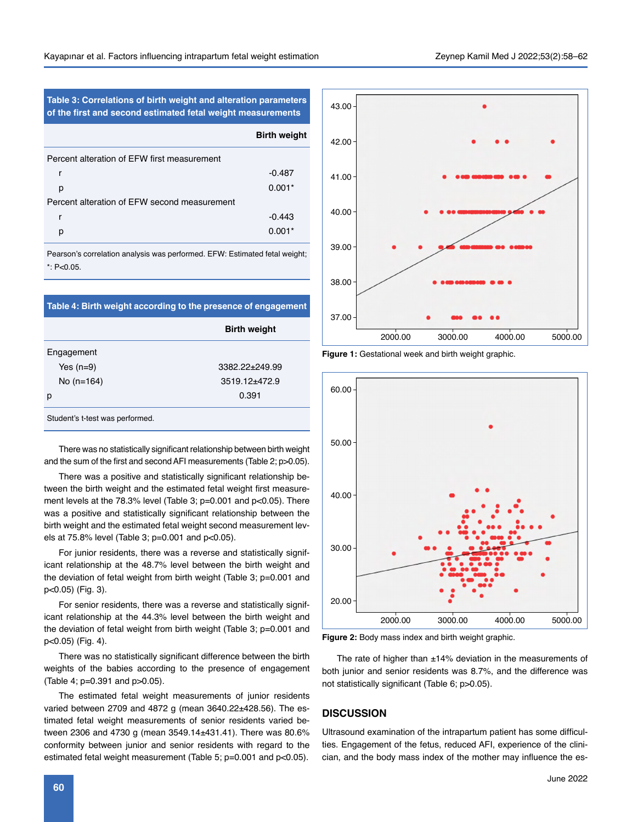**Table 3: Correlations of birth weight and alteration parameters of the first and second estimated fetal weight measurements** 43.00

|                                              | <b>Birth weight</b> |
|----------------------------------------------|---------------------|
| Percent alteration of EFW first measurement  |                     |
| r                                            | $-0.487$            |
| р                                            | $0.001*$            |
| Percent alteration of EFW second measurement |                     |
| r                                            | $-0.443$            |
| р                                            | $0.001*$            |

Pearson's correlation analysis was performed. EFW: Estimated fetal weight; \*: P<0.05.

| Table 4: Birth weight according to the presence of engagement |                      |  |  |
|---------------------------------------------------------------|----------------------|--|--|
|                                                               | <b>Birth weight</b>  |  |  |
| Engagement                                                    |                      |  |  |
| Yes $(n=9)$                                                   | $3382.22 \pm 249.99$ |  |  |
| No $(n=164)$                                                  | $3519.12 + 472.9$    |  |  |
| р                                                             | 0.391                |  |  |
| Student's t-test was performed.                               |                      |  |  |

There was no statistically significant relationship between birth weight and the sum of the first and second AFI measurements (Table 2; p>0.05).

There was a positive and statistically significant relationship between the birth weight and the estimated fetal weight first measurement levels at the 78.3% level (Table 3; p=0.001 and p<0.05). There was a positive and statistically significant relationship between the birth weight and the estimated fetal weight second measurement levels at 75.8% level (Table 3; p=0.001 and p<0.05).

For junior residents, there was a reverse and statistically significant relationship at the 48.7% level between the birth weight and the deviation of fetal weight from birth weight (Table 3; p=0.001 and p<0.05) (Fig. 3).

For senior residents, there was a reverse and statistically significant relationship at the 44.3% level between the birth weight and the deviation of fetal weight from birth weight (Table 3; p=0.001 and p<0.05) (Fig. 4).

There was no statistically significant difference between the birth weights of the babies according to the presence of engagement (Table 4; p=0.391 and p>0.05).

The estimated fetal weight measurements of junior residents varied between 2709 and 4872 g (mean 3640.22±428.56). The estimated fetal weight measurements of senior residents varied between 2306 and 4730 g (mean 3549.14±431.41). There was 80.6% conformity between junior and senior residents with regard to the estimated fetal weight measurement (Table 5; p=0.001 and p<0.05).



**Figure 1:** Gestational week and birth weight graphic.



**Figure 2:** Body mass index and birth weight graphic.

The rate of higher than  $\pm 14\%$  deviation in the measurements of both junior and senior residents was 8.7%, and the difference was not statistically significant (Table 6; p>0.05).

## **DISCUSSION**

Ultrasound examination of the intrapartum patient has some difficulties. Engagement of the fetus, reduced AFI, experience of the clinician, and the body mass index of the mother may influence the es-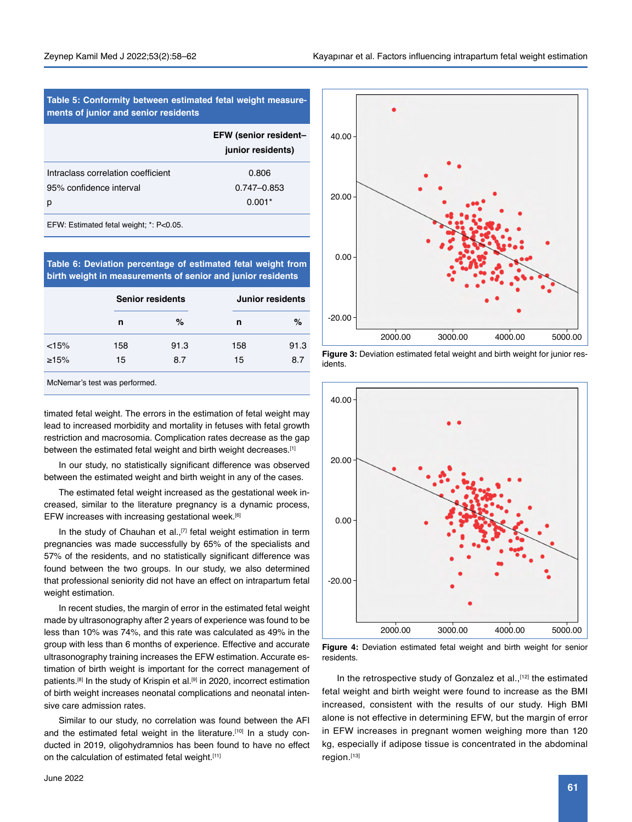| Table 5: Conformity between estimated fetal weight measure-<br>ments of junior and senior residents |  |  |  |
|-----------------------------------------------------------------------------------------------------|--|--|--|
| <b>EFW (senior resident-</b><br>junior residents)                                                   |  |  |  |
| 0.806                                                                                               |  |  |  |
| $0.747 - 0.853$                                                                                     |  |  |  |
| $0.001*$                                                                                            |  |  |  |
|                                                                                                     |  |  |  |

EFW: Estimated fetal weight; \*: P<0.05.

**Table 6: Deviation percentage of estimated fetal weight from birth weight in measurements of senior and junior residents**

|       |     | <b>Senior residents</b> | Junior residents |      |
|-------|-----|-------------------------|------------------|------|
|       | n   | %                       | n                | $\%$ |
| < 15% | 158 | 91.3                    | 158              | 91.3 |
| >15%  | 15  | 87                      | 15               | 8.7  |

McNemar's test was performed.

timated fetal weight. The errors in the estimation of fetal weight may lead to increased morbidity and mortality in fetuses with fetal growth restriction and macrosomia. Complication rates decrease as the gap between the estimated fetal weight and birth weight decreases.[1]

In our study, no statistically significant difference was observed between the estimated weight and birth weight in any of the cases.

The estimated fetal weight increased as the gestational week increased, similar to the literature pregnancy is a dynamic process, EFW increases with increasing gestational week.[6]

In the study of Chauhan et al.,<sup>[7]</sup> fetal weight estimation in term pregnancies was made successfully by 65% of the specialists and 57% of the residents, and no statistically significant difference was found between the two groups. In our study, we also determined that professional seniority did not have an effect on intrapartum fetal weight estimation.

In recent studies, the margin of error in the estimated fetal weight made by ultrasonography after 2 years of experience was found to be less than 10% was 74%, and this rate was calculated as 49% in the group with less than 6 months of experience. Effective and accurate ultrasonography training increases the EFW estimation. Accurate estimation of birth weight is important for the correct management of patients.<sup>[8]</sup> In the study of Krispin et al.<sup>[9]</sup> in 2020, incorrect estimation of birth weight increases neonatal complications and neonatal intensive care admission rates.

Similar to our study, no correlation was found between the AFI and the estimated fetal weight in the literature.<sup>[10]</sup> In a study conducted in 2019, oligohydramnios has been found to have no effect on the calculation of estimated fetal weight.[11]



**Figure 3:** Deviation estimated fetal weight and birth weight for junior residents.



**Figure 4:** Deviation estimated fetal weight and birth weight for senior residents.

In the retrospective study of Gonzalez et al.,<sup>[12]</sup> the estimated fetal weight and birth weight were found to increase as the BMI increased, consistent with the results of our study. High BMI alone is not effective in determining EFW, but the margin of error in EFW increases in pregnant women weighing more than 120 kg, especially if adipose tissue is concentrated in the abdominal region.[13]